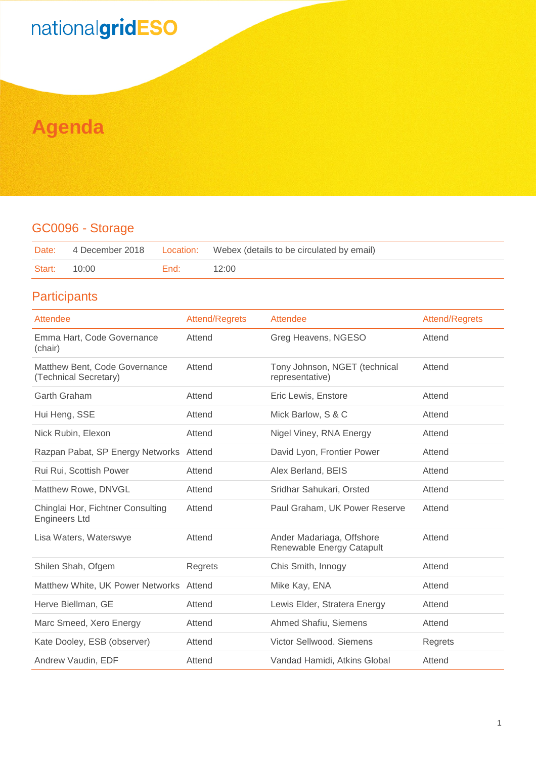## nationalgridESO

### **Agenda**

#### GC0096 - Storage

|              |        | Date: 4 December 2018 Location: Webex (details to be circulated by email) |
|--------------|--------|---------------------------------------------------------------------------|
| Start: 10:00 | End: I | 12:00                                                                     |

#### **Participants**

| Attendee                                                  | <b>Attend/Regrets</b> | Attendee                                               | <b>Attend/Regrets</b> |
|-----------------------------------------------------------|-----------------------|--------------------------------------------------------|-----------------------|
| Emma Hart, Code Governance<br>(chair)                     | Attend                | Greg Heavens, NGESO                                    | Attend                |
| Matthew Bent, Code Governance<br>(Technical Secretary)    | Attend                | Tony Johnson, NGET (technical<br>representative)       | Attend                |
| Garth Graham                                              | Attend                | Eric Lewis, Enstore                                    | Attend                |
| Hui Heng, SSE                                             | Attend                | Mick Barlow, S & C                                     | Attend                |
| Nick Rubin, Elexon                                        | Attend                | Nigel Viney, RNA Energy                                | Attend                |
| Razpan Pabat, SP Energy Networks Attend                   |                       | David Lyon, Frontier Power                             | Attend                |
| Rui Rui, Scottish Power                                   | Attend                | Alex Berland, BEIS                                     | Attend                |
| Matthew Rowe, DNVGL                                       | Attend                | Sridhar Sahukari, Orsted                               | Attend                |
| Chinglai Hor, Fichtner Consulting<br><b>Engineers Ltd</b> | Attend                | Paul Graham, UK Power Reserve                          | Attend                |
| Lisa Waters, Waterswye                                    | Attend                | Ander Madariaga, Offshore<br>Renewable Energy Catapult | Attend                |
| Shilen Shah, Ofgem                                        | Regrets               | Chis Smith, Innogy                                     | Attend                |
| Matthew White, UK Power Networks Attend                   |                       | Mike Kay, ENA                                          | Attend                |
| Herve Biellman, GE                                        | Attend                | Lewis Elder, Stratera Energy                           | Attend                |
| Marc Smeed, Xero Energy                                   | Attend                | Ahmed Shafiu, Siemens                                  | Attend                |
| Kate Dooley, ESB (observer)                               | Attend                | Victor Sellwood, Siemens                               | Regrets               |
| Andrew Vaudin, EDF                                        | Attend                | Vandad Hamidi, Atkins Global                           | Attend                |